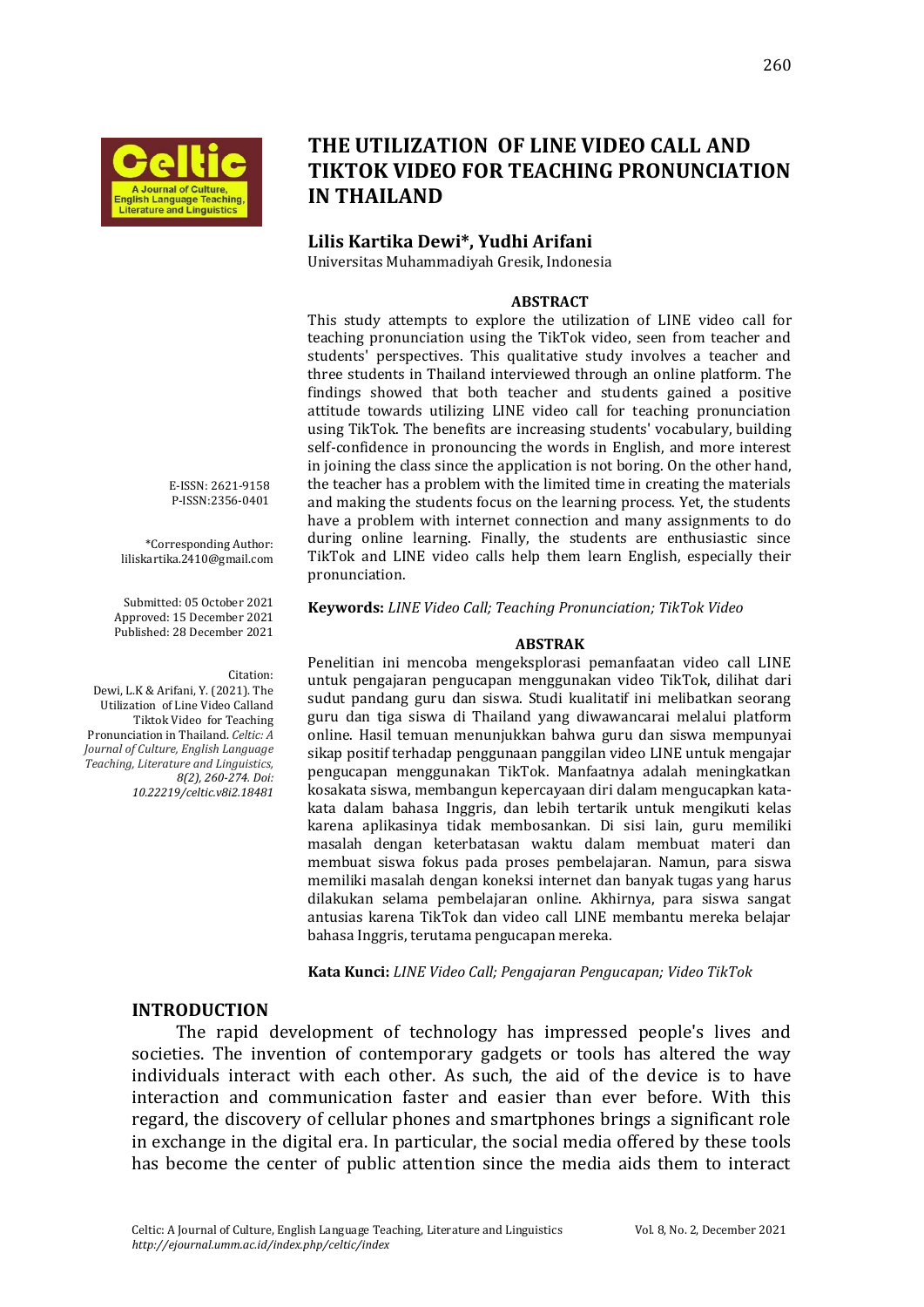

# **THE UTILIZATION OF LINE VIDEO CALL AND TIKTOK VIDEO FOR TEACHING PRONUNCIATION IN THAILAND**

#### **Lilis Kartika Dewi\*, Yudhi Arifani**

Universitas Muhammadiyah Gresik, Indonesia

#### **ABSTRACT**

This study attempts to explore the utilization of LINE video call for teaching pronunciation using the TikTok video, seen from teacher and students' perspectives. This qualitative study involves a teacher and three students in Thailand interviewed through an online platform. The findings showed that both teacher and students gained a positive attitude towards utilizing LINE video call for teaching pronunciation using TikTok. The benefits are increasing students' vocabulary, building self-confidence in pronouncing the words in English, and more interest in joining the class since the application is not boring. On the other hand, the teacher has a problem with the limited time in creating the materials and making the students focus on the learning process. Yet, the students have a problem with internet connection and many assignments to do during online learning. Finally, the students are enthusiastic since TikTok and LINE video calls help them learn English, especially their pronunciation.

**Keywords:** *LINE Video Call; Teaching Pronunciation; TikTok Video*

#### **ABSTRAK**

Penelitian ini mencoba mengeksplorasi pemanfaatan video call LINE untuk pengajaran pengucapan menggunakan video TikTok, dilihat dari sudut pandang guru dan siswa. Studi kualitatif ini melibatkan seorang guru dan tiga siswa di Thailand yang diwawancarai melalui platform online. Hasil temuan menunjukkan bahwa guru dan siswa mempunyai sikap positif terhadap penggunaan panggilan video LINE untuk mengajar pengucapan menggunakan TikTok. Manfaatnya adalah meningkatkan kosakata siswa, membangun kepercayaan diri dalam mengucapkan katakata dalam bahasa Inggris, dan lebih tertarik untuk mengikuti kelas karena aplikasinya tidak membosankan. Di sisi lain, guru memiliki masalah dengan keterbatasan waktu dalam membuat materi dan membuat siswa fokus pada proses pembelajaran. Namun, para siswa memiliki masalah dengan koneksi internet dan banyak tugas yang harus dilakukan selama pembelajaran online. Akhirnya, para siswa sangat antusias karena TikTok dan video call LINE membantu mereka belajar bahasa Inggris, terutama pengucapan mereka.

**Kata Kunci:** *LINE Video Call; Pengajaran Pengucapan; Video TikTok*

#### **INTRODUCTION**

The rapid development of technology has impressed people's lives and societies. The invention of contemporary gadgets or tools has altered the way individuals interact with each other. As such, the aid of the device is to have interaction and communication faster and easier than ever before. With this regard, the discovery of cellular phones and smartphones brings a significant role in exchange in the digital era. In particular, the social media offered by these tools has become the center of public attention since the media aids them to interact

E-ISSN: 2621-9158 P-ISSN:2356-0401

\*Corresponding Author: liliskartika.2410@gmail.com

Submitted: 05 October 2021 Approved: 15 December 2021 Published: 28 December 2021

Citation: Dewi, L.K & Arifani, Y. (2021). The Utilization of Line Video Calland Tiktok Video for Teaching Pronunciation in Thailand. *Celtic: A Journal of Culture, English Language Teaching, Literature and Linguistics, 8(2), 260-274. Doi: 10.22219/celtic.v8i2.18481*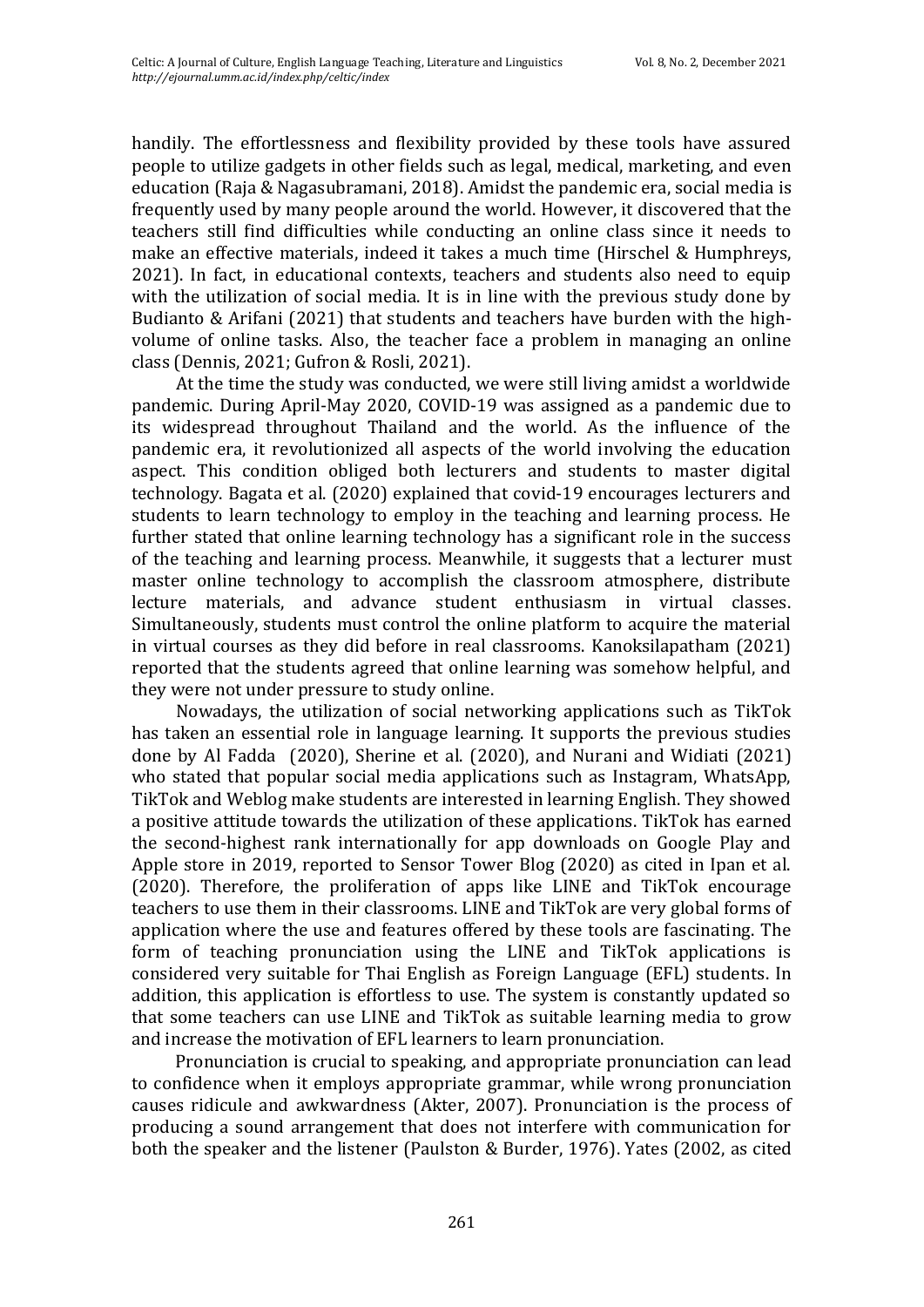handily. The effortlessness and flexibility provided by these tools have assured people to utilize gadgets in other fields such as legal, medical, marketing, and even education (Raja & Nagasubramani, 2018). Amidst the pandemic era, social media is frequently used by many people around the world. However, it discovered that the teachers still find difficulties while conducting an online class since it needs to make an effective materials, indeed it takes a much time (Hirschel & Humphreys, 2021). In fact, in educational contexts, teachers and students also need to equip with the utilization of social media. It is in line with the previous study done by Budianto & Arifani (2021) that students and teachers have burden with the highvolume of online tasks. Also, the teacher face a problem in managing an online class (Dennis, 2021; Gufron & Rosli, 2021).

At the time the study was conducted, we were still living amidst a worldwide pandemic. During April-May 2020, COVID-19 was assigned as a pandemic due to its widespread throughout Thailand and the world. As the influence of the pandemic era, it revolutionized all aspects of the world involving the education aspect. This condition obliged both lecturers and students to master digital technology. Bagata et al. (2020) explained that covid-19 encourages lecturers and students to learn technology to employ in the teaching and learning process. He further stated that online learning technology has a significant role in the success of the teaching and learning process. Meanwhile, it suggests that a lecturer must master online technology to accomplish the classroom atmosphere, distribute lecture materials, and advance student enthusiasm in virtual classes. Simultaneously, students must control the online platform to acquire the material in virtual courses as they did before in real classrooms. Kanoksilapatham (2021) reported that the students agreed that online learning was somehow helpful, and they were not under pressure to study online.

Nowadays, the utilization of social networking applications such as TikTok has taken an essential role in language learning. It supports the previous studies done by Al Fadda (2020), Sherine et al. (2020), and Nurani and Widiati (2021) who stated that popular social media applications such as Instagram, WhatsApp, TikTok and Weblog make students are interested in learning English. They showed a positive attitude towards the utilization of these applications. TikTok has earned the second-highest rank internationally for app downloads on Google Play and Apple store in 2019, reported to Sensor Tower Blog (2020) as cited in Ipan et al. (2020). Therefore, the proliferation of apps like LINE and TikTok encourage teachers to use them in their classrooms. LINE and TikTok are very global forms of application where the use and features offered by these tools are fascinating. The form of teaching pronunciation using the LINE and TikTok applications is considered very suitable for Thai English as Foreign Language (EFL) students. In addition, this application is effortless to use. The system is constantly updated so that some teachers can use LINE and TikTok as suitable learning media to grow and increase the motivation of EFL learners to learn pronunciation.

Pronunciation is crucial to speaking, and appropriate pronunciation can lead to confidence when it employs appropriate grammar, while wrong pronunciation causes ridicule and awkwardness (Akter, 2007). Pronunciation is the process of producing a sound arrangement that does not interfere with communication for both the speaker and the listener (Paulston & Burder, 1976). Yates (2002, as cited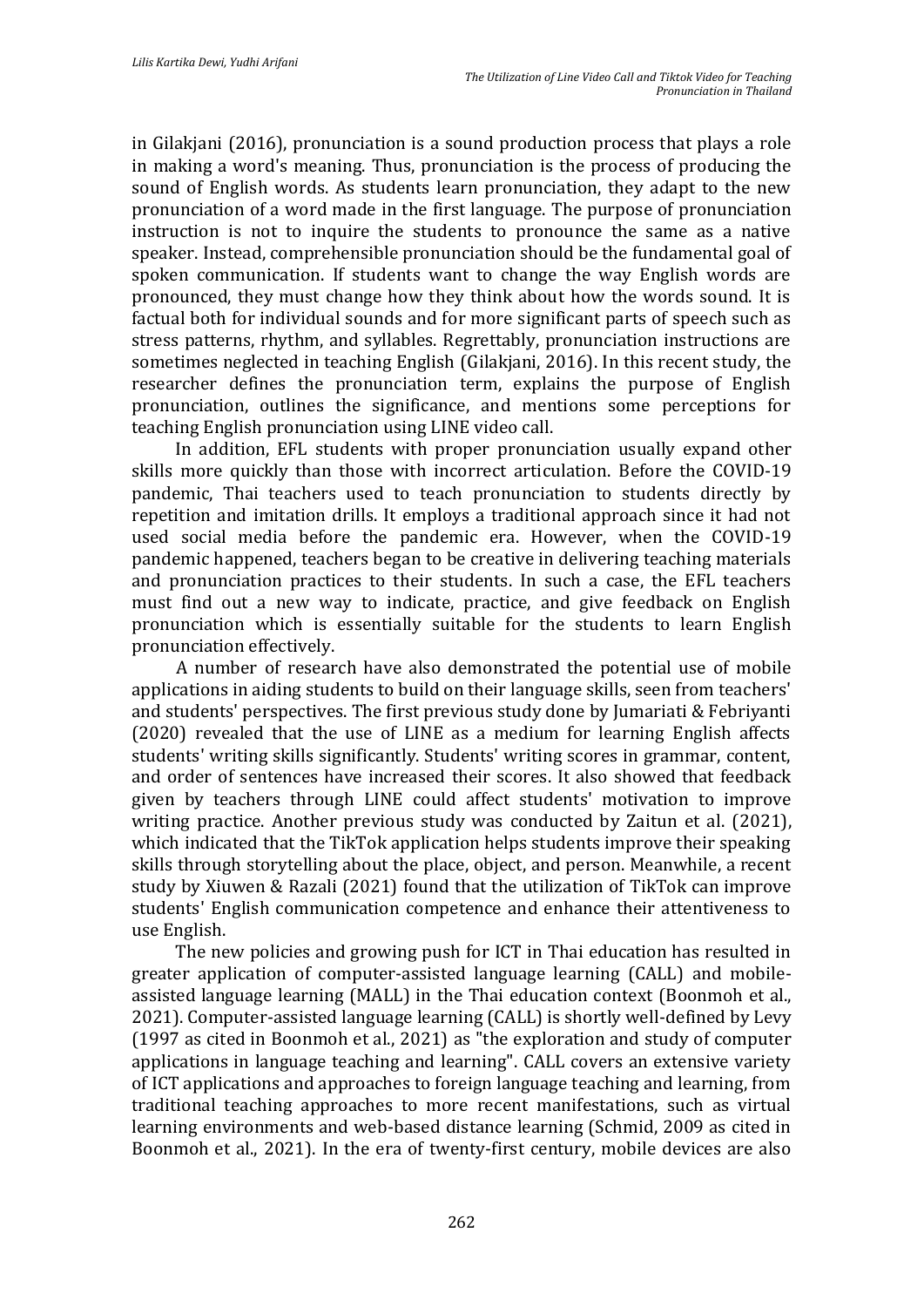in Gilakjani (2016), pronunciation is a sound production process that plays a role in making a word's meaning. Thus, pronunciation is the process of producing the sound of English words. As students learn pronunciation, they adapt to the new pronunciation of a word made in the first language. The purpose of pronunciation instruction is not to inquire the students to pronounce the same as a native speaker. Instead, comprehensible pronunciation should be the fundamental goal of spoken communication. If students want to change the way English words are pronounced, they must change how they think about how the words sound. It is factual both for individual sounds and for more significant parts of speech such as stress patterns, rhythm, and syllables. Regrettably, pronunciation instructions are sometimes neglected in teaching English (Gilakjani, 2016). In this recent study, the researcher defines the pronunciation term, explains the purpose of English pronunciation, outlines the significance, and mentions some perceptions for teaching English pronunciation using LINE video call.

In addition, EFL students with proper pronunciation usually expand other skills more quickly than those with incorrect articulation. Before the COVID-19 pandemic, Thai teachers used to teach pronunciation to students directly by repetition and imitation drills. It employs a traditional approach since it had not used social media before the pandemic era. However, when the COVID-19 pandemic happened, teachers began to be creative in delivering teaching materials and pronunciation practices to their students. In such a case, the EFL teachers must find out a new way to indicate, practice, and give feedback on English pronunciation which is essentially suitable for the students to learn English pronunciation effectively.

A number of research have also demonstrated the potential use of mobile applications in aiding students to build on their language skills, seen from teachers' and students' perspectives. The first previous study done by Jumariati & Febriyanti (2020) revealed that the use of LINE as a medium for learning English affects students' writing skills significantly. Students' writing scores in grammar, content, and order of sentences have increased their scores. It also showed that feedback given by teachers through LINE could affect students' motivation to improve writing practice. Another previous study was conducted by Zaitun et al. (2021), which indicated that the TikTok application helps students improve their speaking skills through storytelling about the place, object, and person. Meanwhile, a recent study by Xiuwen & Razali (2021) found that the utilization of TikTok can improve students' English communication competence and enhance their attentiveness to use English.

The new policies and growing push for ICT in Thai education has resulted in greater application of computer-assisted language learning (CALL) and mobileassisted language learning (MALL) in the Thai education context (Boonmoh et al., 2021). Computer-assisted language learning (CALL) is shortly well-defined by Levy (1997 as cited in Boonmoh et al., 2021) as "the exploration and study of computer applications in language teaching and learning". CALL covers an extensive variety of ICT applications and approaches to foreign language teaching and learning, from traditional teaching approaches to more recent manifestations, such as virtual learning environments and web-based distance learning (Schmid, 2009 as cited in Boonmoh et al., 2021). In the era of twenty-first century, mobile devices are also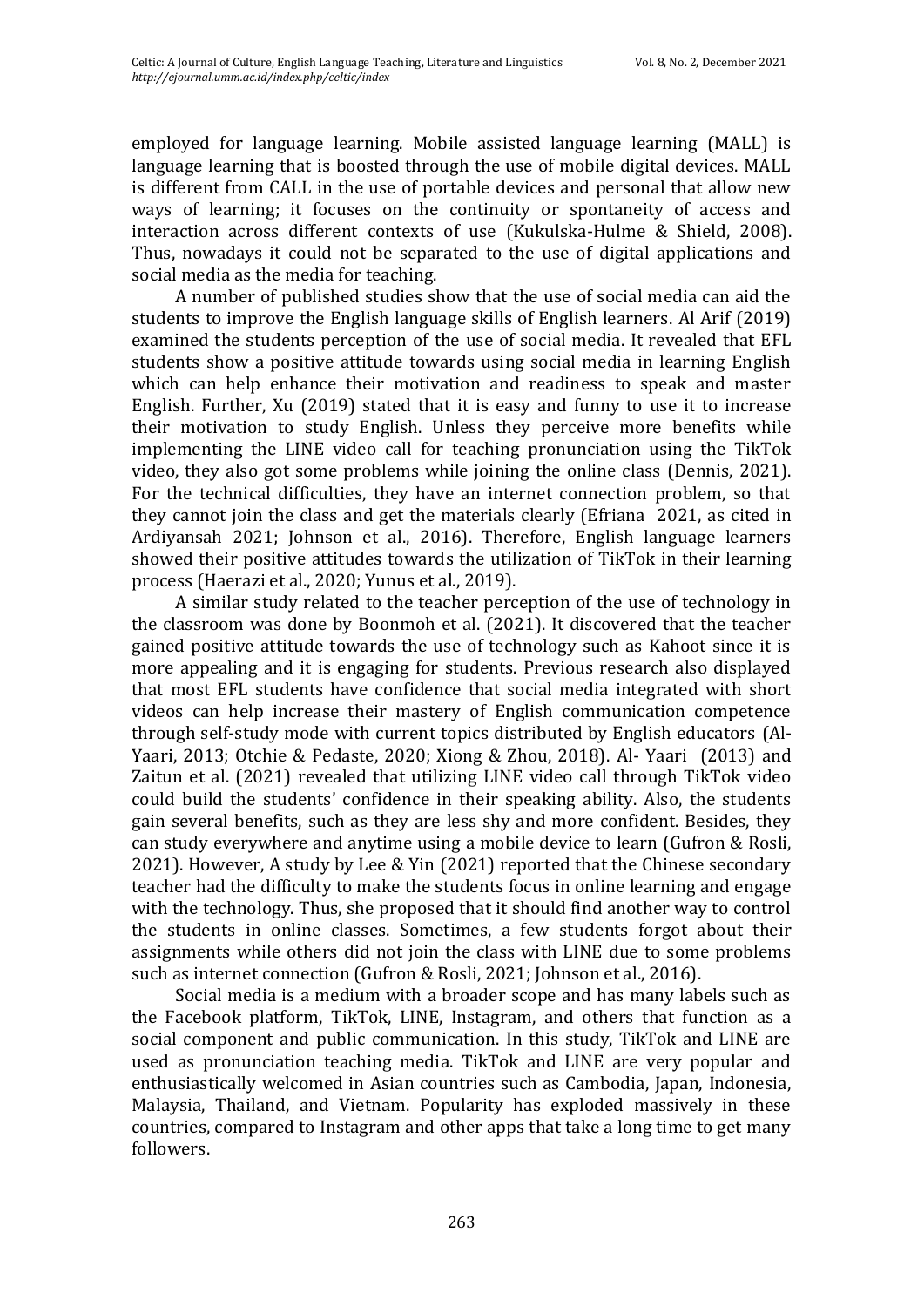employed for language learning. Mobile assisted language learning (MALL) is language learning that is boosted through the use of mobile digital devices. MALL is different from CALL in the use of portable devices and personal that allow new ways of learning; it focuses on the continuity or spontaneity of access and interaction across different contexts of use (Kukulska-Hulme & Shield, 2008). Thus, nowadays it could not be separated to the use of digital applications and social media as the media for teaching.

A number of published studies show that the use of social media can aid the students to improve the English language skills of English learners. Al Arif (2019) examined the students perception of the use of social media. It revealed that EFL students show a positive attitude towards using social media in learning English which can help enhance their motivation and readiness to speak and master English. Further, Xu (2019) stated that it is easy and funny to use it to increase their motivation to study English. Unless they perceive more benefits while implementing the LINE video call for teaching pronunciation using the TikTok video, they also got some problems while joining the online class (Dennis, 2021). For the technical difficulties, they have an internet connection problem, so that they cannot join the class and get the materials clearly (Efriana 2021, as cited in Ardiyansah 2021; Johnson et al., 2016). Therefore, English language learners showed their positive attitudes towards the utilization of TikTok in their learning process (Haerazi et al., 2020; Yunus et al., 2019).

A similar study related to the teacher perception of the use of technology in the classroom was done by Boonmoh et al. (2021). It discovered that the teacher gained positive attitude towards the use of technology such as Kahoot since it is more appealing and it is engaging for students. Previous research also displayed that most EFL students have confidence that social media integrated with short videos can help increase their mastery of English communication competence through self-study mode with current topics distributed by English educators (Al-Yaari, 2013; Otchie & Pedaste, 2020; Xiong & Zhou, 2018). Al- Yaari (2013) and Zaitun et al. (2021) revealed that utilizing LINE video call through TikTok video could build the students' confidence in their speaking ability. Also, the students gain several benefits, such as they are less shy and more confident. Besides, they can study everywhere and anytime using a mobile device to learn (Gufron & Rosli, 2021). However, A study by Lee & Yin (2021) reported that the Chinese secondary teacher had the difficulty to make the students focus in online learning and engage with the technology. Thus, she proposed that it should find another way to control the students in online classes. Sometimes, a few students forgot about their assignments while others did not join the class with LINE due to some problems such as internet connection (Gufron & Rosli, 2021; Johnson et al., 2016).

Social media is a medium with a broader scope and has many labels such as the Facebook platform, TikTok, LINE, Instagram, and others that function as a social component and public communication. In this study, TikTok and LINE are used as pronunciation teaching media. TikTok and LINE are very popular and enthusiastically welcomed in Asian countries such as Cambodia, Japan, Indonesia, Malaysia, Thailand, and Vietnam. Popularity has exploded massively in these countries, compared to Instagram and other apps that take a long time to get many followers.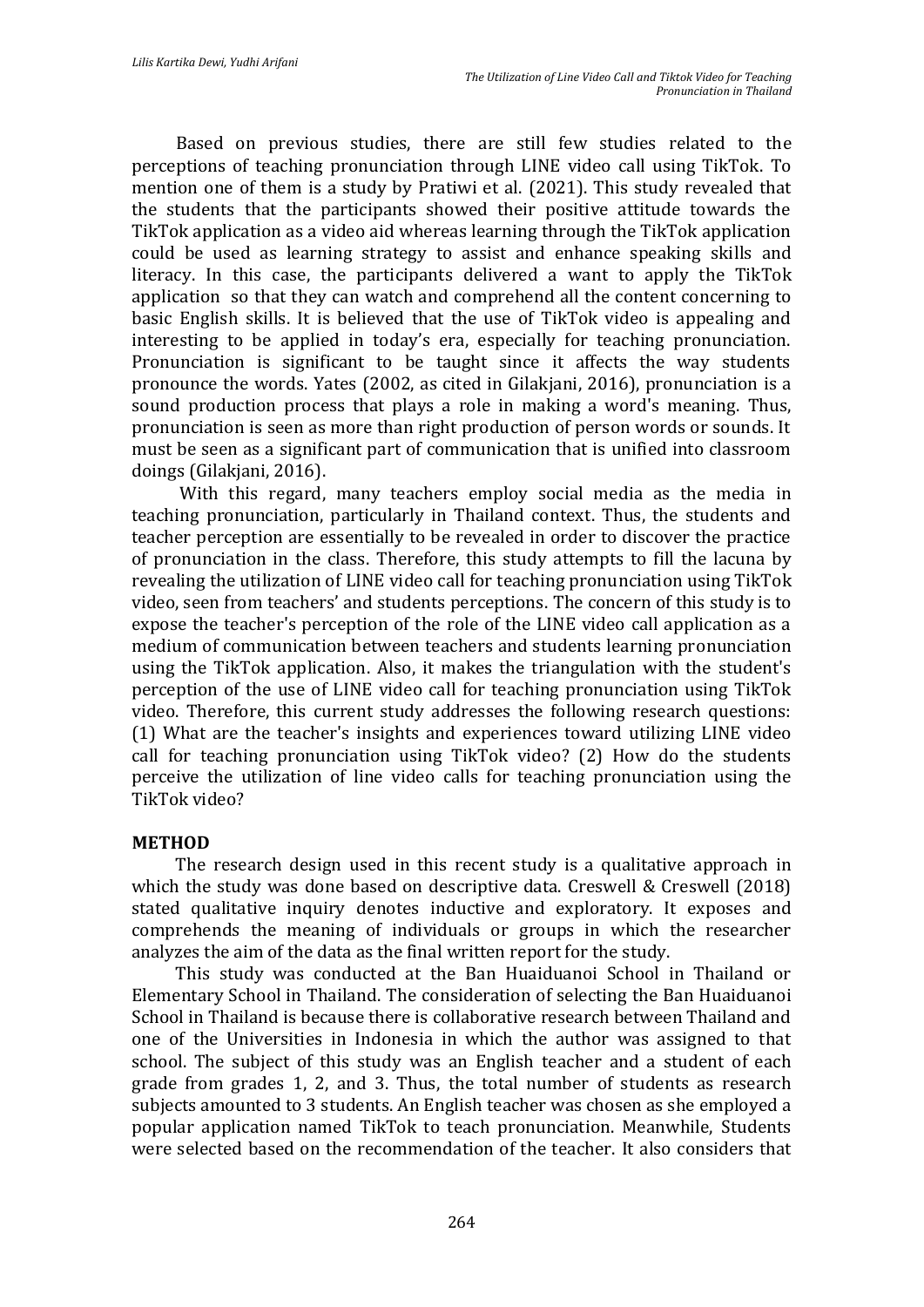Based on previous studies, there are still few studies related to the perceptions of teaching pronunciation through LINE video call using TikTok. To mention one of them is a study by Pratiwi et al. (2021). This study revealed that the students that the participants showed their positive attitude towards the TikTok application as a video aid whereas learning through the TikTok application could be used as learning strategy to assist and enhance speaking skills and literacy. In this case, the participants delivered a want to apply the TikTok application so that they can watch and comprehend all the content concerning to basic English skills. It is believed that the use of TikTok video is appealing and interesting to be applied in today's era, especially for teaching pronunciation. Pronunciation is significant to be taught since it affects the way students pronounce the words. Yates (2002, as cited in Gilakjani, 2016), pronunciation is a sound production process that plays a role in making a word's meaning. Thus, pronunciation is seen as more than right production of person words or sounds. It must be seen as a significant part of communication that is unified into classroom doings (Gilakjani, 2016).

With this regard, many teachers employ social media as the media in teaching pronunciation, particularly in Thailand context. Thus, the students and teacher perception are essentially to be revealed in order to discover the practice of pronunciation in the class. Therefore, this study attempts to fill the lacuna by revealing the utilization of LINE video call for teaching pronunciation using TikTok video, seen from teachers' and students perceptions. The concern of this study is to expose the teacher's perception of the role of the LINE video call application as a medium of communication between teachers and students learning pronunciation using the TikTok application. Also, it makes the triangulation with the student's perception of the use of LINE video call for teaching pronunciation using TikTok video. Therefore, this current study addresses the following research questions: (1) What are the teacher's insights and experiences toward utilizing LINE video call for teaching pronunciation using TikTok video? (2) How do the students perceive the utilization of line video calls for teaching pronunciation using the TikTok video?

#### **METHOD**

The research design used in this recent study is a qualitative approach in which the study was done based on descriptive data. Creswell & Creswell (2018) stated qualitative inquiry denotes inductive and exploratory. It exposes and comprehends the meaning of individuals or groups in which the researcher analyzes the aim of the data as the final written report for the study.

This study was conducted at the Ban Huaiduanoi School in Thailand or Elementary School in Thailand. The consideration of selecting the Ban Huaiduanoi School in Thailand is because there is collaborative research between Thailand and one of the Universities in Indonesia in which the author was assigned to that school. The subject of this study was an English teacher and a student of each grade from grades 1, 2, and 3. Thus, the total number of students as research subjects amounted to 3 students. An English teacher was chosen as she employed a popular application named TikTok to teach pronunciation. Meanwhile, Students were selected based on the recommendation of the teacher. It also considers that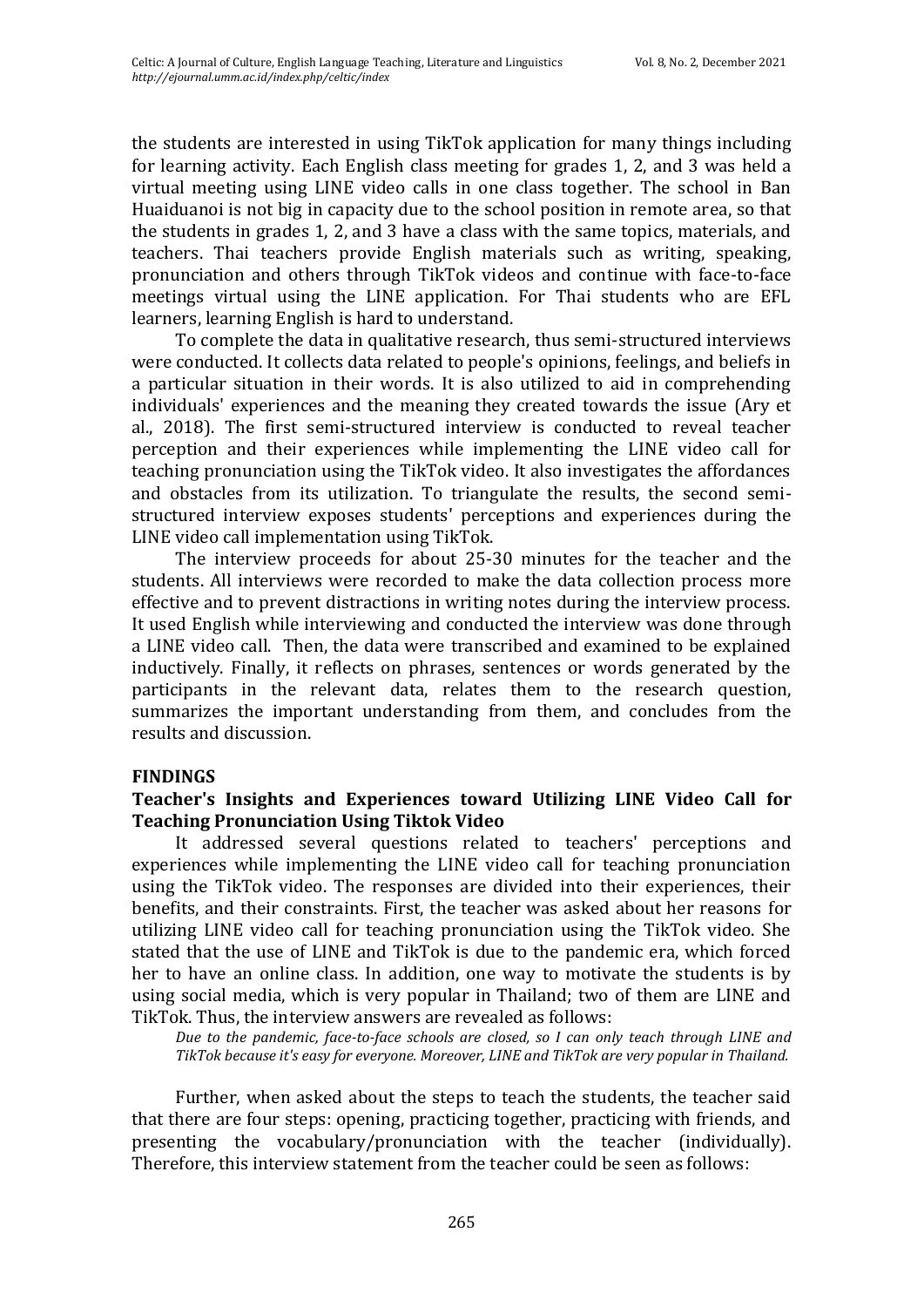the students are interested in using TikTok application for many things including for learning activity. Each English class meeting for grades 1, 2, and 3 was held a virtual meeting using LINE video calls in one class together. The school in Ban Huaiduanoi is not big in capacity due to the school position in remote area, so that the students in grades 1, 2, and 3 have a class with the same topics, materials, and teachers. Thai teachers provide English materials such as writing, speaking, pronunciation and others through TikTok videos and continue with face-to-face meetings virtual using the LINE application. For Thai students who are EFL learners, learning English is hard to understand.

To complete the data in qualitative research, thus semi-structured interviews were conducted. It collects data related to people's opinions, feelings, and beliefs in a particular situation in their words. It is also utilized to aid in comprehending individuals' experiences and the meaning they created towards the issue (Ary et al., 2018). The first semi-structured interview is conducted to reveal teacher perception and their experiences while implementing the LINE video call for teaching pronunciation using the TikTok video. It also investigates the affordances and obstacles from its utilization. To triangulate the results, the second semistructured interview exposes students' perceptions and experiences during the LINE video call implementation using TikTok.

The interview proceeds for about 25-30 minutes for the teacher and the students. All interviews were recorded to make the data collection process more effective and to prevent distractions in writing notes during the interview process. It used English while interviewing and conducted the interview was done through a LINE video call. Then, the data were transcribed and examined to be explained inductively. Finally, it reflects on phrases, sentences or words generated by the participants in the relevant data, relates them to the research question, summarizes the important understanding from them, and concludes from the results and discussion.

## **FINDINGS**

## **Teacher's Insights and Experiences toward Utilizing LINE Video Call for Teaching Pronunciation Using Tiktok Video**

It addressed several questions related to teachers' perceptions and experiences while implementing the LINE video call for teaching pronunciation using the TikTok video. The responses are divided into their experiences, their benefits, and their constraints. First, the teacher was asked about her reasons for utilizing LINE video call for teaching pronunciation using the TikTok video. She stated that the use of LINE and TikTok is due to the pandemic era, which forced her to have an online class. In addition, one way to motivate the students is by using social media, which is very popular in Thailand; two of them are LINE and TikTok. Thus, the interview answers are revealed as follows:

*Due to the pandemic, face-to-face schools are closed, so I can only teach through LINE and TikTok because it's easy for everyone. Moreover, LINE and TikTok are very popular in Thailand.* 

Further, when asked about the steps to teach the students, the teacher said that there are four steps: opening, practicing together, practicing with friends, and presenting the vocabulary/pronunciation with the teacher (individually). Therefore, this interview statement from the teacher could be seen as follows: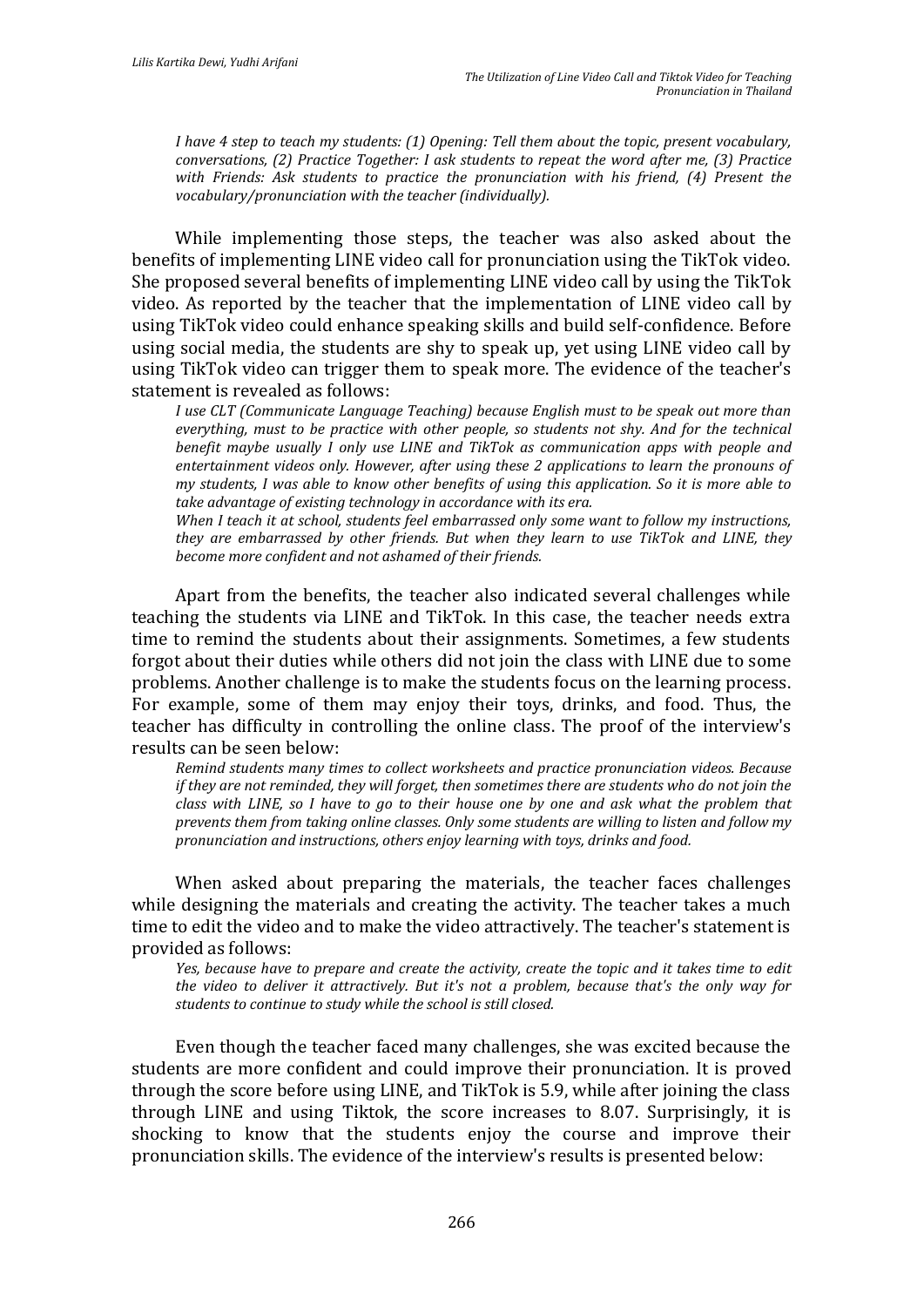*I have 4 step to teach my students: (1) Opening: Tell them about the topic, present vocabulary, conversations, (2) Practice Together: I ask students to repeat the word after me, (3) Practice with Friends: Ask students to practice the pronunciation with his friend, (4) Present the vocabulary/pronunciation with the teacher (individually).*

While implementing those steps, the teacher was also asked about the benefits of implementing LINE video call for pronunciation using the TikTok video. She proposed several benefits of implementing LINE video call by using the TikTok video. As reported by the teacher that the implementation of LINE video call by using TikTok video could enhance speaking skills and build self-confidence. Before using social media, the students are shy to speak up, yet using LINE video call by using TikTok video can trigger them to speak more. The evidence of the teacher's statement is revealed as follows:

*I use CLT (Communicate Language Teaching) because English must to be speak out more than everything, must to be practice with other people, so students not shy. And for the technical benefit maybe usually I only use LINE and TikTok as communication apps with people and entertainment videos only. However, after using these 2 applications to learn the pronouns of my students, I was able to know other benefits of using this application. So it is more able to take advantage of existing technology in accordance with its era.* 

*When I teach it at school, students feel embarrassed only some want to follow my instructions, they are embarrassed by other friends. But when they learn to use TikTok and LINE, they become more confident and not ashamed of their friends.*

Apart from the benefits, the teacher also indicated several challenges while teaching the students via LINE and TikTok. In this case, the teacher needs extra time to remind the students about their assignments. Sometimes, a few students forgot about their duties while others did not join the class with LINE due to some problems. Another challenge is to make the students focus on the learning process. For example, some of them may enjoy their toys, drinks, and food. Thus, the teacher has difficulty in controlling the online class. The proof of the interview's results can be seen below:

*Remind students many times to collect worksheets and practice pronunciation videos. Because if they are not reminded, they will forget, then sometimes there are students who do not join the class with LINE, so I have to go to their house one by one and ask what the problem that prevents them from taking online classes. Only some students are willing to listen and follow my pronunciation and instructions, others enjoy learning with toys, drinks and food.*

When asked about preparing the materials, the teacher faces challenges while designing the materials and creating the activity. The teacher takes a much time to edit the video and to make the video attractively. The teacher's statement is provided as follows:

*Yes, because have to prepare and create the activity, create the topic and it takes time to edit the video to deliver it attractively. But it's not a problem, because that's the only way for students to continue to study while the school is still closed.*

Even though the teacher faced many challenges, she was excited because the students are more confident and could improve their pronunciation. It is proved through the score before using LINE, and TikTok is 5.9, while after joining the class through LINE and using Tiktok, the score increases to 8.07. Surprisingly, it is shocking to know that the students enjoy the course and improve their pronunciation skills. The evidence of the interview's results is presented below: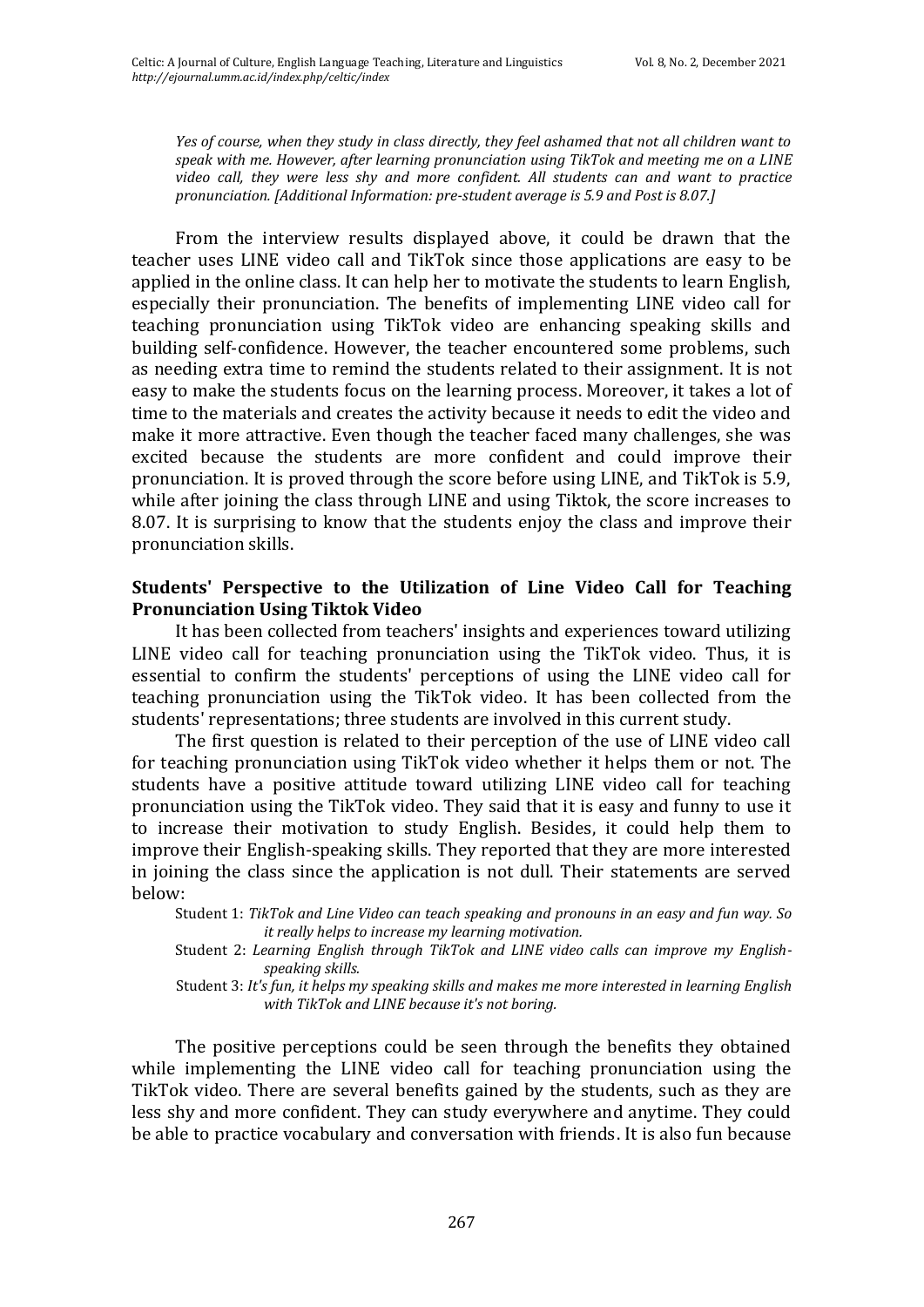*Yes of course, when they study in class directly, they feel ashamed that not all children want to speak with me. However, after learning pronunciation using TikTok and meeting me on a LINE video call, they were less shy and more confident. All students can and want to practice pronunciation. [Additional Information: pre-student average is 5.9 and Post is 8.07.]*

From the interview results displayed above, it could be drawn that the teacher uses LINE video call and TikTok since those applications are easy to be applied in the online class. It can help her to motivate the students to learn English, especially their pronunciation. The benefits of implementing LINE video call for teaching pronunciation using TikTok video are enhancing speaking skills and building self-confidence. However, the teacher encountered some problems, such as needing extra time to remind the students related to their assignment. It is not easy to make the students focus on the learning process. Moreover, it takes a lot of time to the materials and creates the activity because it needs to edit the video and make it more attractive. Even though the teacher faced many challenges, she was excited because the students are more confident and could improve their pronunciation. It is proved through the score before using LINE, and TikTok is 5.9, while after joining the class through LINE and using Tiktok, the score increases to 8.07. It is surprising to know that the students enjoy the class and improve their pronunciation skills.

## **Students' Perspective to the Utilization of Line Video Call for Teaching Pronunciation Using Tiktok Video**

It has been collected from teachers' insights and experiences toward utilizing LINE video call for teaching pronunciation using the TikTok video. Thus, it is essential to confirm the students' perceptions of using the LINE video call for teaching pronunciation using the TikTok video. It has been collected from the students' representations; three students are involved in this current study.

The first question is related to their perception of the use of LINE video call for teaching pronunciation using TikTok video whether it helps them or not. The students have a positive attitude toward utilizing LINE video call for teaching pronunciation using the TikTok video. They said that it is easy and funny to use it to increase their motivation to study English. Besides, it could help them to improve their English-speaking skills. They reported that they are more interested in joining the class since the application is not dull. Their statements are served below:

Student 1: *TikTok and Line Video can teach speaking and pronouns in an easy and fun way. So it really helps to increase my learning motivation.*

Student 2: *Learning English through TikTok and LINE video calls can improve my Englishspeaking skills.*

Student 3: *It's fun, it helps my speaking skills and makes me more interested in learning English with TikTok and LINE because it's not boring.*

The positive perceptions could be seen through the benefits they obtained while implementing the LINE video call for teaching pronunciation using the TikTok video. There are several benefits gained by the students, such as they are less shy and more confident. They can study everywhere and anytime. They could be able to practice vocabulary and conversation with friends. It is also fun because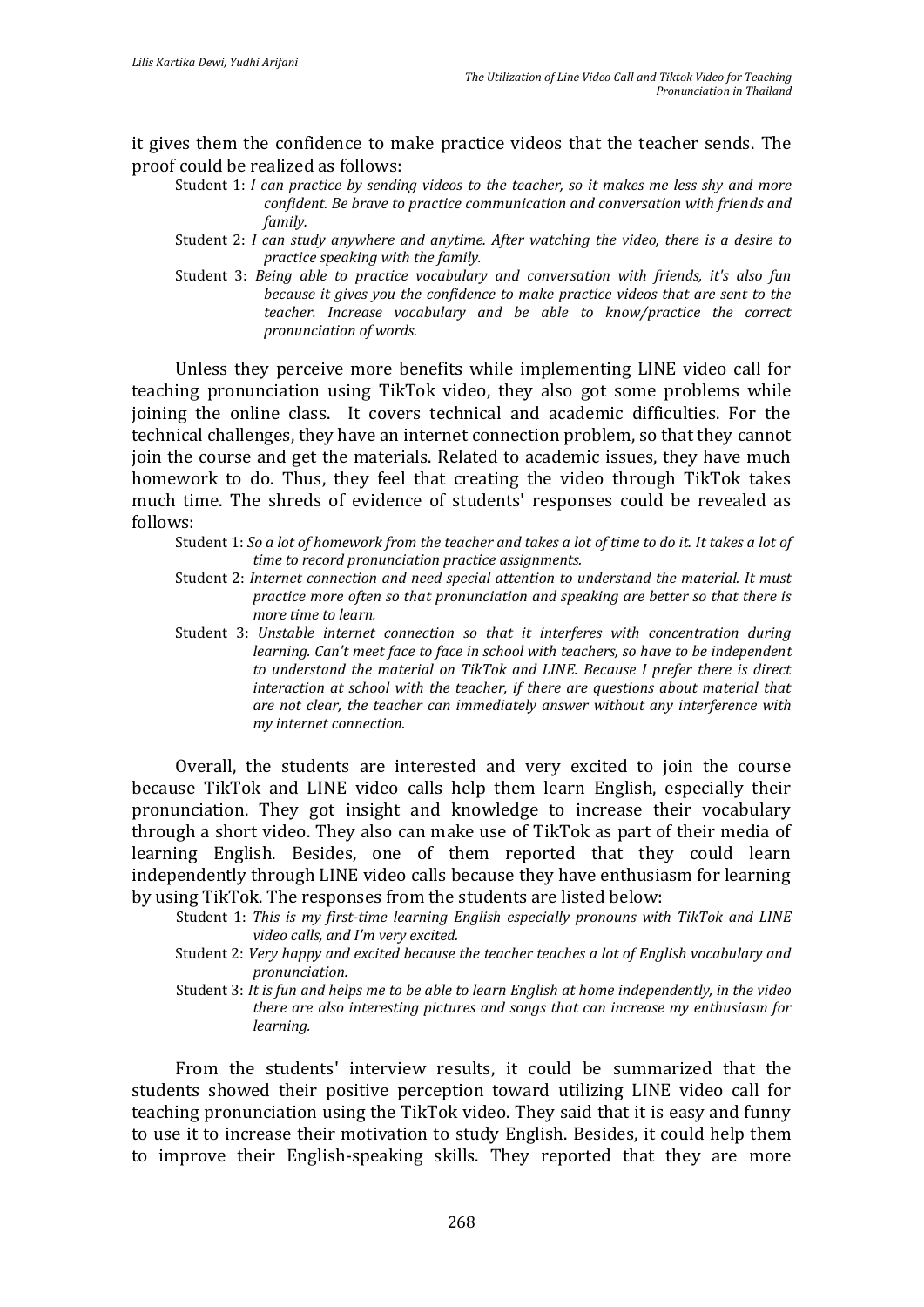it gives them the confidence to make practice videos that the teacher sends. The proof could be realized as follows:

- Student 1: *I can practice by sending videos to the teacher, so it makes me less shy and more confident. Be brave to practice communication and conversation with friends and family.*
- Student 2: *I can study anywhere and anytime. After watching the video, there is a desire to practice speaking with the family.*
- Student 3: *Being able to practice vocabulary and conversation with friends, it's also fun because it gives you the confidence to make practice videos that are sent to the teacher. Increase vocabulary and be able to know/practice the correct pronunciation of words.*

Unless they perceive more benefits while implementing LINE video call for teaching pronunciation using TikTok video, they also got some problems while joining the online class. It covers technical and academic difficulties. For the technical challenges, they have an internet connection problem, so that they cannot join the course and get the materials. Related to academic issues, they have much homework to do. Thus, they feel that creating the video through TikTok takes much time. The shreds of evidence of students' responses could be revealed as follows:

Student 1: *So a lot of homework from the teacher and takes a lot of time to do it. It takes a lot of time to record pronunciation practice assignments.*

- Student 2: *Internet connection and need special attention to understand the material. It must practice more often so that pronunciation and speaking are better so that there is more time to learn.*
- Student 3: *Unstable internet connection so that it interferes with concentration during learning. Can't meet face to face in school with teachers, so have to be independent to understand the material on TikTok and LINE. Because I prefer there is direct interaction at school with the teacher, if there are questions about material that are not clear, the teacher can immediately answer without any interference with my internet connection.*

Overall, the students are interested and very excited to join the course because TikTok and LINE video calls help them learn English, especially their pronunciation. They got insight and knowledge to increase their vocabulary through a short video. They also can make use of TikTok as part of their media of learning English. Besides, one of them reported that they could learn independently through LINE video calls because they have enthusiasm for learning by using TikTok. The responses from the students are listed below:

- Student 1: *This is my first-time learning English especially pronouns with TikTok and LINE video calls, and I'm very excited.*
- Student 2: *Very happy and excited because the teacher teaches a lot of English vocabulary and pronunciation.*
- Student 3: *It is fun and helps me to be able to learn English at home independently, in the video there are also interesting pictures and songs that can increase my enthusiasm for learning.*

From the students' interview results, it could be summarized that the students showed their positive perception toward utilizing LINE video call for teaching pronunciation using the TikTok video. They said that it is easy and funny to use it to increase their motivation to study English. Besides, it could help them to improve their English-speaking skills. They reported that they are more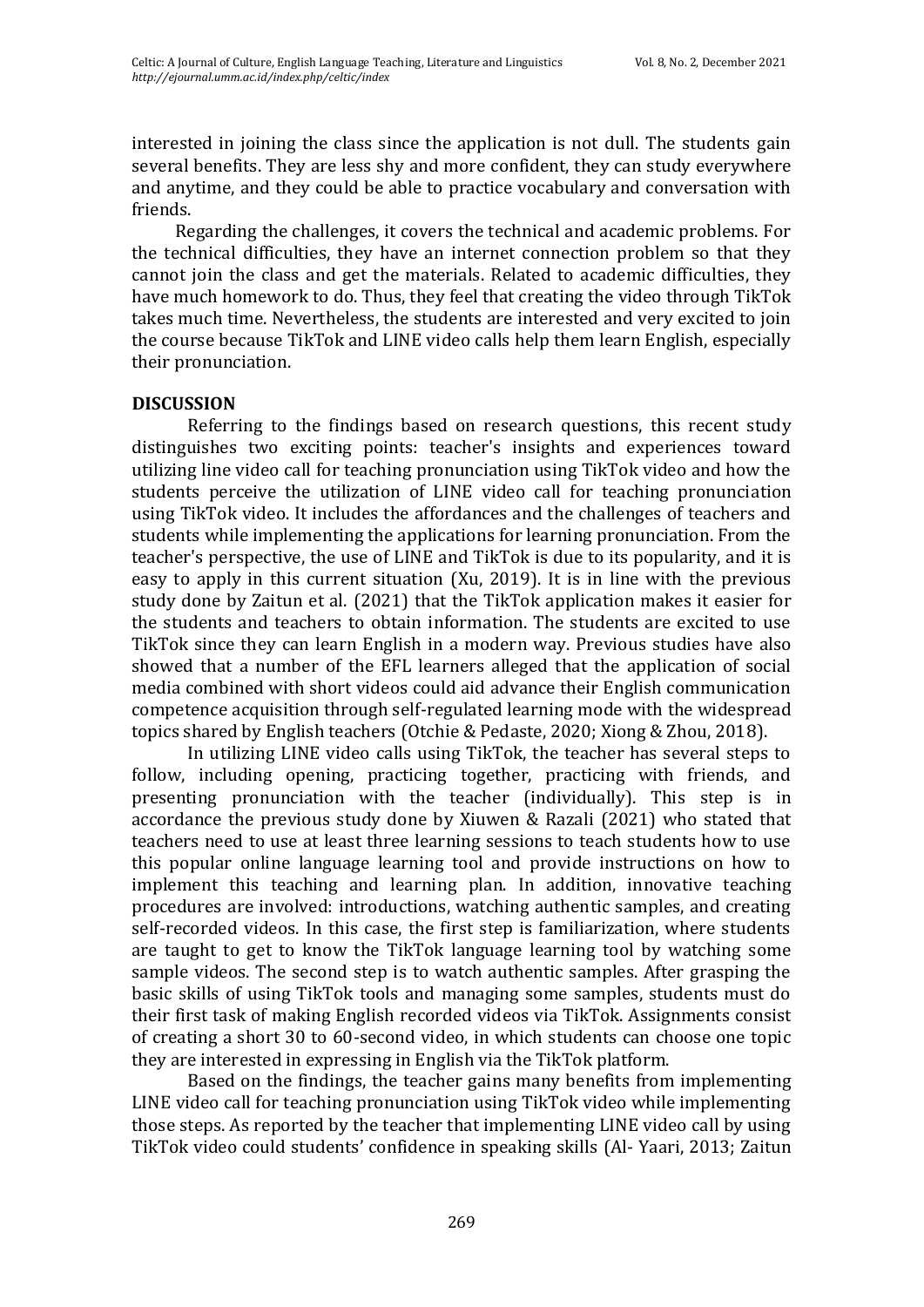interested in joining the class since the application is not dull. The students gain several benefits. They are less shy and more confident, they can study everywhere and anytime, and they could be able to practice vocabulary and conversation with friends.

Regarding the challenges, it covers the technical and academic problems. For the technical difficulties, they have an internet connection problem so that they cannot join the class and get the materials. Related to academic difficulties, they have much homework to do. Thus, they feel that creating the video through TikTok takes much time. Nevertheless, the students are interested and very excited to join the course because TikTok and LINE video calls help them learn English, especially their pronunciation.

## **DISCUSSION**

Referring to the findings based on research questions, this recent study distinguishes two exciting points: teacher's insights and experiences toward utilizing line video call for teaching pronunciation using TikTok video and how the students perceive the utilization of LINE video call for teaching pronunciation using TikTok video. It includes the affordances and the challenges of teachers and students while implementing the applications for learning pronunciation. From the teacher's perspective, the use of LINE and TikTok is due to its popularity, and it is easy to apply in this current situation (Xu, 2019). It is in line with the previous study done by Zaitun et al. (2021) that the TikTok application makes it easier for the students and teachers to obtain information. The students are excited to use TikTok since they can learn English in a modern way. Previous studies have also showed that a number of the EFL learners alleged that the application of social media combined with short videos could aid advance their English communication competence acquisition through self-regulated learning mode with the widespread topics shared by English teachers (Otchie & Pedaste, 2020; Xiong & Zhou, 2018).

In utilizing LINE video calls using TikTok, the teacher has several steps to follow, including opening, practicing together, practicing with friends, and presenting pronunciation with the teacher (individually). This step is in accordance the previous study done by Xiuwen & Razali (2021) who stated that teachers need to use at least three learning sessions to teach students how to use this popular online language learning tool and provide instructions on how to implement this teaching and learning plan. In addition, innovative teaching procedures are involved: introductions, watching authentic samples, and creating self-recorded videos. In this case, the first step is familiarization, where students are taught to get to know the TikTok language learning tool by watching some sample videos. The second step is to watch authentic samples. After grasping the basic skills of using TikTok tools and managing some samples, students must do their first task of making English recorded videos via TikTok. Assignments consist of creating a short 30 to 60-second video, in which students can choose one topic they are interested in expressing in English via the TikTok platform.

Based on the findings, the teacher gains many benefits from implementing LINE video call for teaching pronunciation using TikTok video while implementing those steps. As reported by the teacher that implementing LINE video call by using TikTok video could students' confidence in speaking skills (Al- Yaari, 2013; Zaitun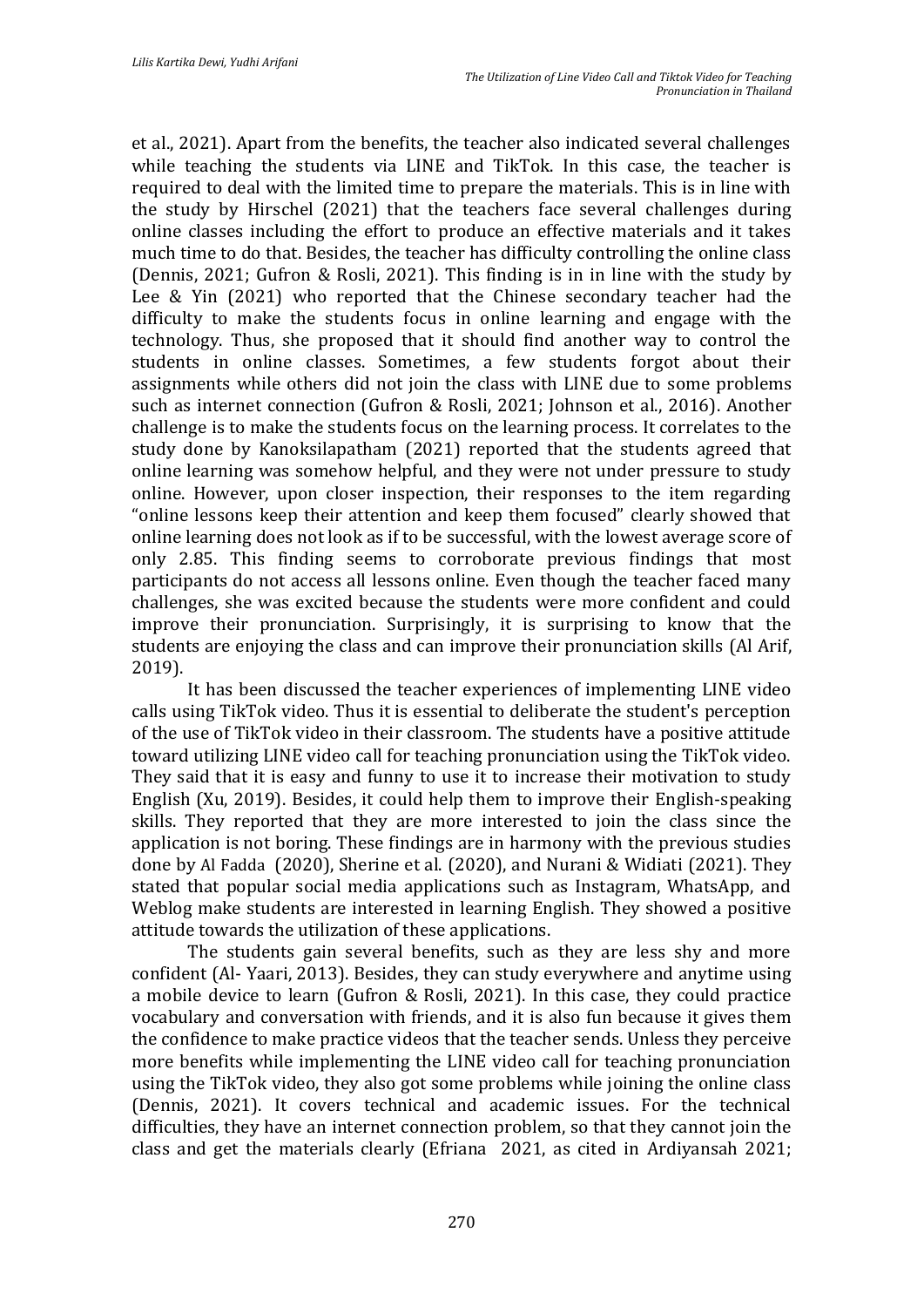et al., 2021). Apart from the benefits, the teacher also indicated several challenges while teaching the students via LINE and TikTok. In this case, the teacher is required to deal with the limited time to prepare the materials. This is in line with the study by Hirschel (2021) that the teachers face several challenges during online classes including the effort to produce an effective materials and it takes much time to do that. Besides, the teacher has difficulty controlling the online class (Dennis, 2021; Gufron & Rosli, 2021). This finding is in in line with the study by Lee & Yin (2021) who reported that the Chinese secondary teacher had the difficulty to make the students focus in online learning and engage with the technology. Thus, she proposed that it should find another way to control the students in online classes. Sometimes, a few students forgot about their assignments while others did not join the class with LINE due to some problems such as internet connection (Gufron & Rosli, 2021; Johnson et al., 2016). Another challenge is to make the students focus on the learning process. It correlates to the study done by Kanoksilapatham (2021) reported that the students agreed that online learning was somehow helpful, and they were not under pressure to study online. However, upon closer inspection, their responses to the item regarding "online lessons keep their attention and keep them focused" clearly showed that online learning does not look as if to be successful, with the lowest average score of only 2.85. This finding seems to corroborate previous findings that most participants do not access all lessons online. Even though the teacher faced many challenges, she was excited because the students were more confident and could improve their pronunciation. Surprisingly, it is surprising to know that the students are enjoying the class and can improve their pronunciation skills (Al Arif, 2019).

It has been discussed the teacher experiences of implementing LINE video calls using TikTok video. Thus it is essential to deliberate the student's perception of the use of TikTok video in their classroom. The students have a positive attitude toward utilizing LINE video call for teaching pronunciation using the TikTok video. They said that it is easy and funny to use it to increase their motivation to study English (Xu, 2019). Besides, it could help them to improve their English-speaking skills. They reported that they are more interested to join the class since the application is not boring. These findings are in harmony with the previous studies done by Al Fadda (2020), Sherine et al. (2020), and Nurani & Widiati (2021). They stated that popular social media applications such as Instagram, WhatsApp, and Weblog make students are interested in learning English. They showed a positive attitude towards the utilization of these applications.

The students gain several benefits, such as they are less shy and more confident (Al- Yaari, 2013). Besides, they can study everywhere and anytime using a mobile device to learn (Gufron & Rosli, 2021). In this case, they could practice vocabulary and conversation with friends, and it is also fun because it gives them the confidence to make practice videos that the teacher sends. Unless they perceive more benefits while implementing the LINE video call for teaching pronunciation using the TikTok video, they also got some problems while joining the online class (Dennis, 2021). It covers technical and academic issues. For the technical difficulties, they have an internet connection problem, so that they cannot join the class and get the materials clearly (Efriana 2021, as cited in Ardiyansah 2021;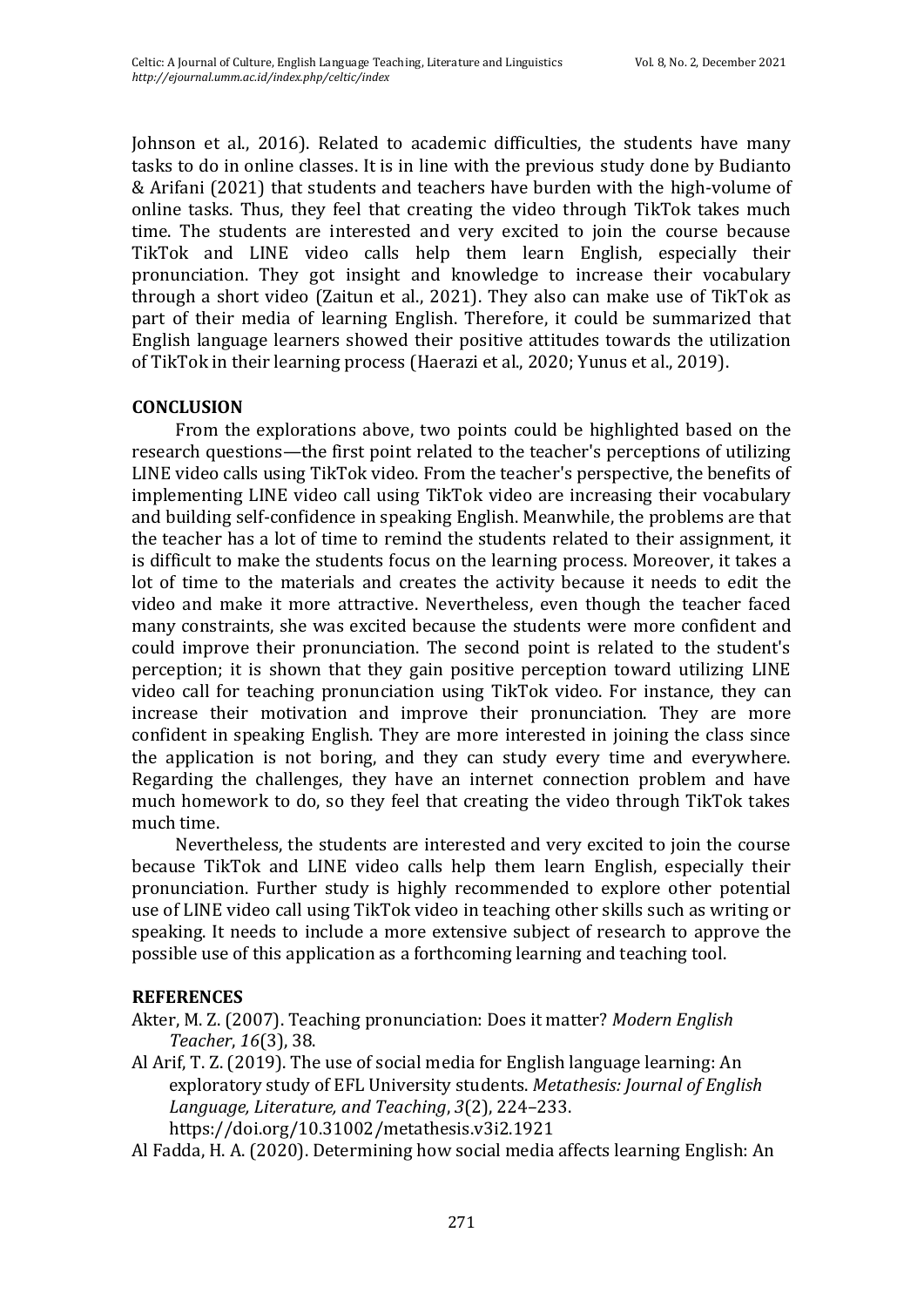Johnson et al., 2016). Related to academic difficulties, the students have many tasks to do in online classes. It is in line with the previous study done by Budianto & Arifani (2021) that students and teachers have burden with the high-volume of online tasks. Thus, they feel that creating the video through TikTok takes much time. The students are interested and very excited to join the course because TikTok and LINE video calls help them learn English, especially their pronunciation. They got insight and knowledge to increase their vocabulary through a short video (Zaitun et al., 2021). They also can make use of TikTok as part of their media of learning English. Therefore, it could be summarized that English language learners showed their positive attitudes towards the utilization of TikTok in their learning process (Haerazi et al., 2020; Yunus et al., 2019).

## **CONCLUSION**

From the explorations above, two points could be highlighted based on the research questions—the first point related to the teacher's perceptions of utilizing LINE video calls using TikTok video. From the teacher's perspective, the benefits of implementing LINE video call using TikTok video are increasing their vocabulary and building self-confidence in speaking English. Meanwhile, the problems are that the teacher has a lot of time to remind the students related to their assignment, it is difficult to make the students focus on the learning process. Moreover, it takes a lot of time to the materials and creates the activity because it needs to edit the video and make it more attractive. Nevertheless, even though the teacher faced many constraints, she was excited because the students were more confident and could improve their pronunciation. The second point is related to the student's perception; it is shown that they gain positive perception toward utilizing LINE video call for teaching pronunciation using TikTok video. For instance, they can increase their motivation and improve their pronunciation. They are more confident in speaking English. They are more interested in joining the class since the application is not boring, and they can study every time and everywhere. Regarding the challenges, they have an internet connection problem and have much homework to do, so they feel that creating the video through TikTok takes much time.

Nevertheless, the students are interested and very excited to join the course because TikTok and LINE video calls help them learn English, especially their pronunciation. Further study is highly recommended to explore other potential use of LINE video call using TikTok video in teaching other skills such as writing or speaking. It needs to include a more extensive subject of research to approve the possible use of this application as a forthcoming learning and teaching tool.

## **REFERENCES**

Akter, M. Z. (2007). Teaching pronunciation: Does it matter? *Modern English Teacher*, *16*(3), 38.

Al Arif, T. Z. (2019). The use of social media for English language learning: An exploratory study of EFL University students. *Metathesis: Journal of English Language, Literature, and Teaching*, *3*(2), 224–233. https://doi.org/10.31002/metathesis.v3i2.1921

Al Fadda, H. A. (2020). Determining how social media affects learning English: An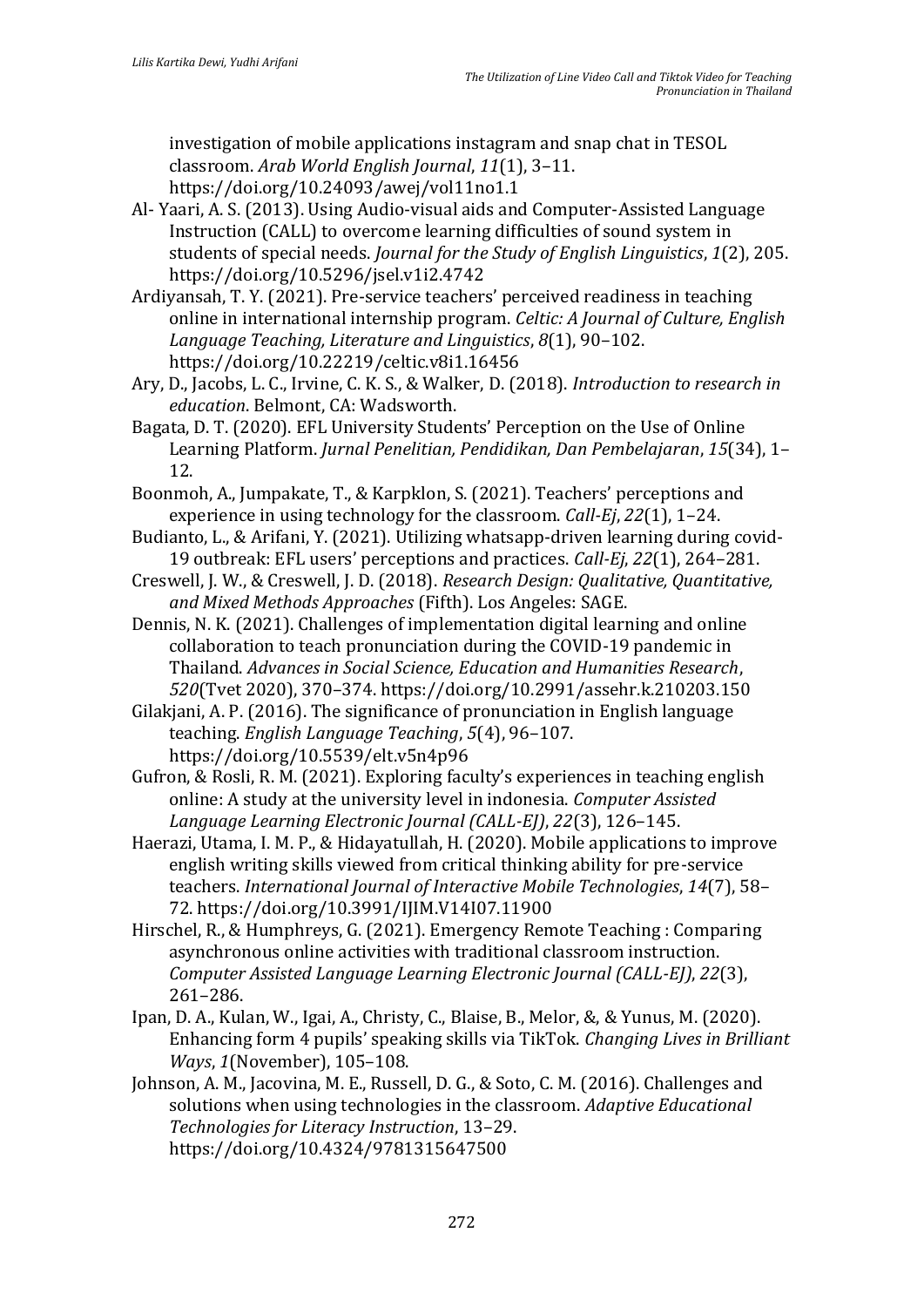investigation of mobile applications instagram and snap chat in TESOL classroom. *Arab World English Journal*, *11*(1), 3–11. https://doi.org/10.24093/awej/vol11no1.1

- Al- Yaari, A. S. (2013). Using Audio-visual aids and Computer-Assisted Language Instruction (CALL) to overcome learning difficulties of sound system in students of special needs. *Journal for the Study of English Linguistics*, *1*(2), 205. https://doi.org/10.5296/jsel.v1i2.4742
- Ardiyansah, T. Y. (2021). Pre-service teachers' perceived readiness in teaching online in international internship program. *Celtic: A Journal of Culture, English Language Teaching, Literature and Linguistics*, *8*(1), 90–102. https://doi.org/10.22219/celtic.v8i1.16456
- Ary, D., Jacobs, L. C., Irvine, C. K. S., & Walker, D. (2018). *Introduction to research in education*. Belmont, CA: Wadsworth.
- Bagata, D. T. (2020). EFL University Students' Perception on the Use of Online Learning Platform. *Jurnal Penelitian, Pendidikan, Dan Pembelajaran*, *15*(34), 1– 12.
- Boonmoh, A., Jumpakate, T., & Karpklon, S. (2021). Teachers' perceptions and experience in using technology for the classroom. *Call-Ej*, *22*(1), 1–24.
- Budianto, L., & Arifani, Y. (2021). Utilizing whatsapp-driven learning during covid-19 outbreak: EFL users' perceptions and practices. *Call-Ej*, *22*(1), 264–281.
- Creswell, J. W., & Creswell, J. D. (2018). *Research Design: Qualitative, Quantitative, and Mixed Methods Approaches* (Fifth). Los Angeles: SAGE.
- Dennis, N. K. (2021). Challenges of implementation digital learning and online collaboration to teach pronunciation during the COVID-19 pandemic in Thailand. *Advances in Social Science, Education and Humanities Research*, *520*(Tvet 2020), 370–374. https://doi.org/10.2991/assehr.k.210203.150
- Gilakjani, A. P. (2016). The significance of pronunciation in English language teaching. *English Language Teaching*, *5*(4), 96–107. https://doi.org/10.5539/elt.v5n4p96
- Gufron, & Rosli, R. M. (2021). Exploring faculty's experiences in teaching english online: A study at the university level in indonesia. *Computer Assisted Language Learning Electronic Journal (CALL-EJ)*, *22*(3), 126–145.
- Haerazi, Utama, I. M. P., & Hidayatullah, H. (2020). Mobile applications to improve english writing skills viewed from critical thinking ability for pre-service teachers. *International Journal of Interactive Mobile Technologies*, *14*(7), 58– 72. https://doi.org/10.3991/IJIM.V14I07.11900
- Hirschel, R., & Humphreys, G. (2021). Emergency Remote Teaching : Comparing asynchronous online activities with traditional classroom instruction. *Computer Assisted Language Learning Electronic Journal (CALL-EJ)*, *22*(3), 261–286.
- Ipan, D. A., Kulan, W., Igai, A., Christy, C., Blaise, B., Melor, &, & Yunus, M. (2020). Enhancing form 4 pupils' speaking skills via TikTok. *Changing Lives in Brilliant Ways*, *1*(November), 105–108.
- Johnson, A. M., Jacovina, M. E., Russell, D. G., & Soto, C. M. (2016). Challenges and solutions when using technologies in the classroom. *Adaptive Educational Technologies for Literacy Instruction*, 13–29. https://doi.org/10.4324/9781315647500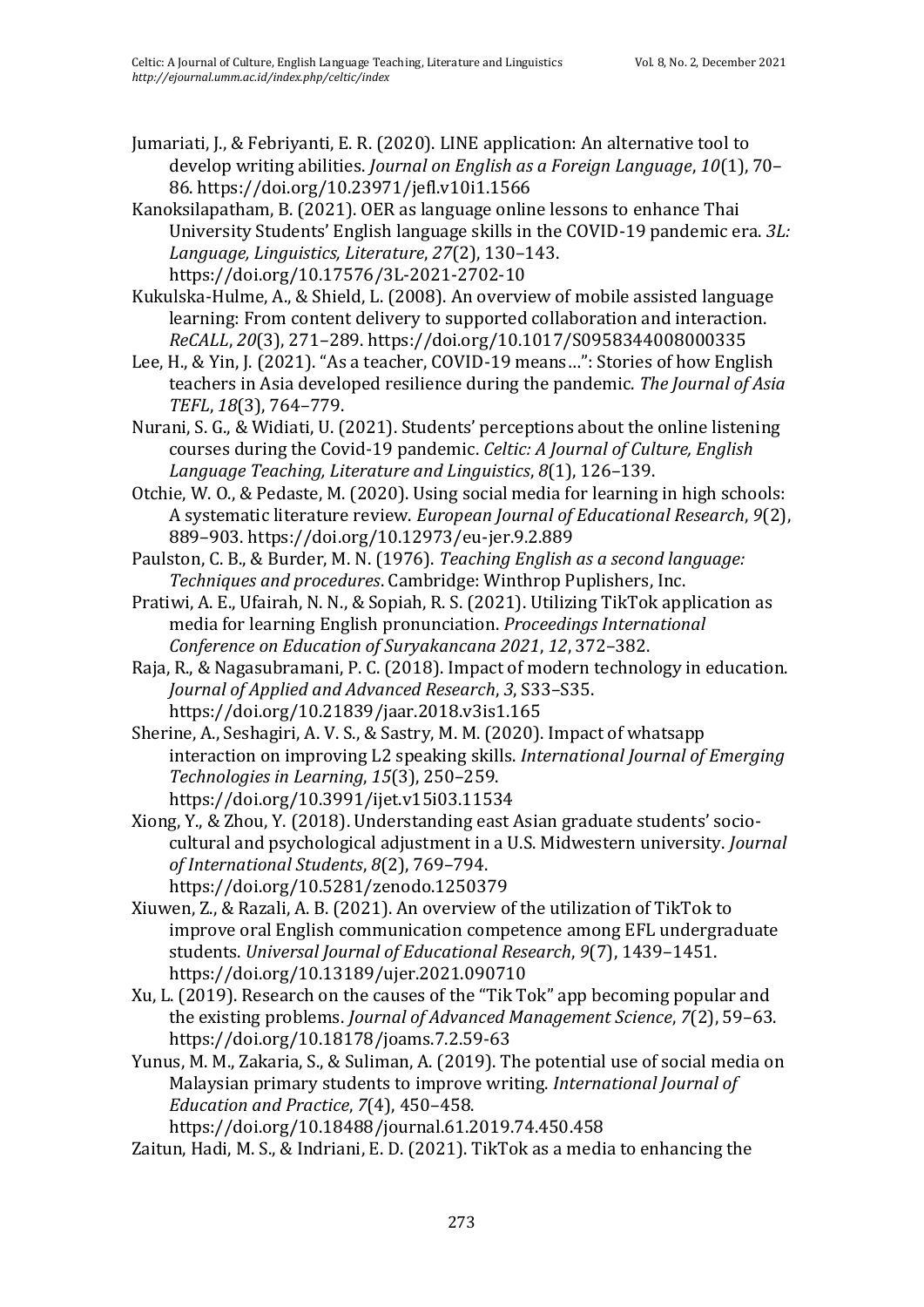Jumariati, J., & Febriyanti, E. R. (2020). LINE application: An alternative tool to develop writing abilities. *Journal on English as a Foreign Language*, *10*(1), 70– 86. https://doi.org/10.23971/jefl.v10i1.1566

Kanoksilapatham, B. (2021). OER as language online lessons to enhance Thai University Students' English language skills in the COVID-19 pandemic era. *3L: Language, Linguistics, Literature*, *27*(2), 130–143. https://doi.org/10.17576/3L-2021-2702-10

Kukulska-Hulme, A., & Shield, L. (2008). An overview of mobile assisted language learning: From content delivery to supported collaboration and interaction. *ReCALL*, *20*(3), 271–289. https://doi.org/10.1017/S0958344008000335

Lee, H., & Yin, J. (2021). "As a teacher, COVID-19 means…": Stories of how English teachers in Asia developed resilience during the pandemic. *The Journal of Asia TEFL*, *18*(3), 764–779.

Nurani, S. G., & Widiati, U. (2021). Students' perceptions about the online listening courses during the Covid-19 pandemic. *Celtic: A Journal of Culture, English Language Teaching, Literature and Linguistics*, *8*(1), 126–139.

Otchie, W. O., & Pedaste, M. (2020). Using social media for learning in high schools: A systematic literature review. *European Journal of Educational Research*, *9*(2), 889–903. https://doi.org/10.12973/eu-jer.9.2.889

Paulston, C. B., & Burder, M. N. (1976). *Teaching English as a second language: Techniques and procedures*. Cambridge: Winthrop Puplishers, Inc.

Pratiwi, A. E., Ufairah, N. N., & Sopiah, R. S. (2021). Utilizing TikTok application as media for learning English pronunciation. *Proceedings International Conference on Education of Suryakancana 2021*, *12*, 372–382.

Raja, R., & Nagasubramani, P. C. (2018). Impact of modern technology in education. *Journal of Applied and Advanced Research*, *3*, S33–S35. https://doi.org/10.21839/jaar.2018.v3is1.165

Sherine, A., Seshagiri, A. V. S., & Sastry, M. M. (2020). Impact of whatsapp interaction on improving L2 speaking skills. *International Journal of Emerging Technologies in Learning*, *15*(3), 250–259. https://doi.org/10.3991/ijet.v15i03.11534

Xiong, Y., & Zhou, Y. (2018). Understanding east Asian graduate students' sociocultural and psychological adjustment in a U.S. Midwestern university. *Journal of International Students*, *8*(2), 769–794. https://doi.org/10.5281/zenodo.1250379

Xiuwen, Z., & Razali, A. B. (2021). An overview of the utilization of TikTok to improve oral English communication competence among EFL undergraduate students. *Universal Journal of Educational Research*, *9*(7), 1439–1451. https://doi.org/10.13189/ujer.2021.090710

Xu, L. (2019). Research on the causes of the "Tik Tok" app becoming popular and the existing problems. *Journal of Advanced Management Science*, *7*(2), 59–63. https://doi.org/10.18178/joams.7.2.59-63

Yunus, M. M., Zakaria, S., & Suliman, A. (2019). The potential use of social media on Malaysian primary students to improve writing. *International Journal of Education and Practice*, *7*(4), 450–458.

https://doi.org/10.18488/journal.61.2019.74.450.458

Zaitun, Hadi, M. S., & Indriani, E. D. (2021). TikTok as a media to enhancing the